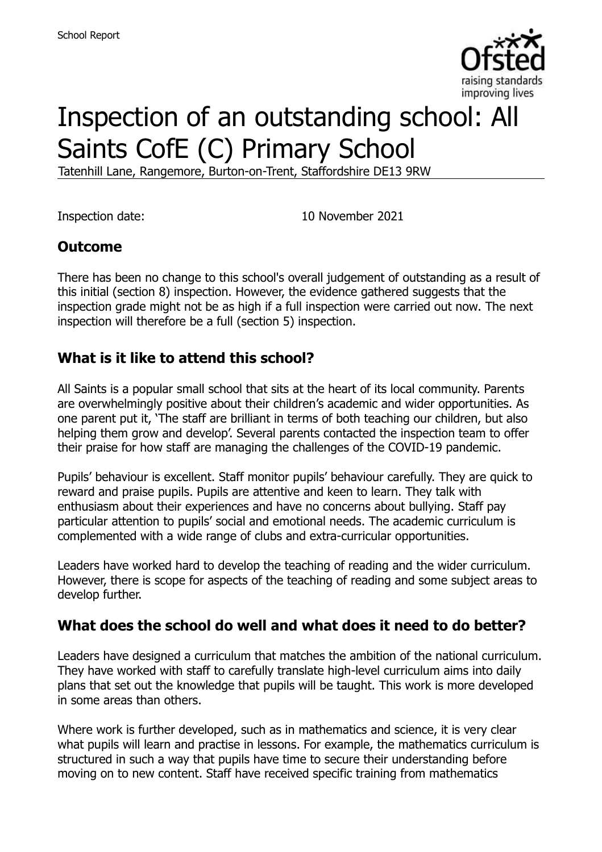

# Inspection of an outstanding school: All Saints CofE (C) Primary School

Tatenhill Lane, Rangemore, Burton-on-Trent, Staffordshire DE13 9RW

Inspection date: 10 November 2021

### **Outcome**

There has been no change to this school's overall judgement of outstanding as a result of this initial (section 8) inspection. However, the evidence gathered suggests that the inspection grade might not be as high if a full inspection were carried out now. The next inspection will therefore be a full (section 5) inspection.

### **What is it like to attend this school?**

All Saints is a popular small school that sits at the heart of its local community. Parents are overwhelmingly positive about their children's academic and wider opportunities. As one parent put it, 'The staff are brilliant in terms of both teaching our children, but also helping them grow and develop'. Several parents contacted the inspection team to offer their praise for how staff are managing the challenges of the COVID-19 pandemic.

Pupils' behaviour is excellent. Staff monitor pupils' behaviour carefully. They are quick to reward and praise pupils. Pupils are attentive and keen to learn. They talk with enthusiasm about their experiences and have no concerns about bullying. Staff pay particular attention to pupils' social and emotional needs. The academic curriculum is complemented with a wide range of clubs and extra-curricular opportunities.

Leaders have worked hard to develop the teaching of reading and the wider curriculum. However, there is scope for aspects of the teaching of reading and some subject areas to develop further.

### **What does the school do well and what does it need to do better?**

Leaders have designed a curriculum that matches the ambition of the national curriculum. They have worked with staff to carefully translate high-level curriculum aims into daily plans that set out the knowledge that pupils will be taught. This work is more developed in some areas than others.

Where work is further developed, such as in mathematics and science, it is very clear what pupils will learn and practise in lessons. For example, the mathematics curriculum is structured in such a way that pupils have time to secure their understanding before moving on to new content. Staff have received specific training from mathematics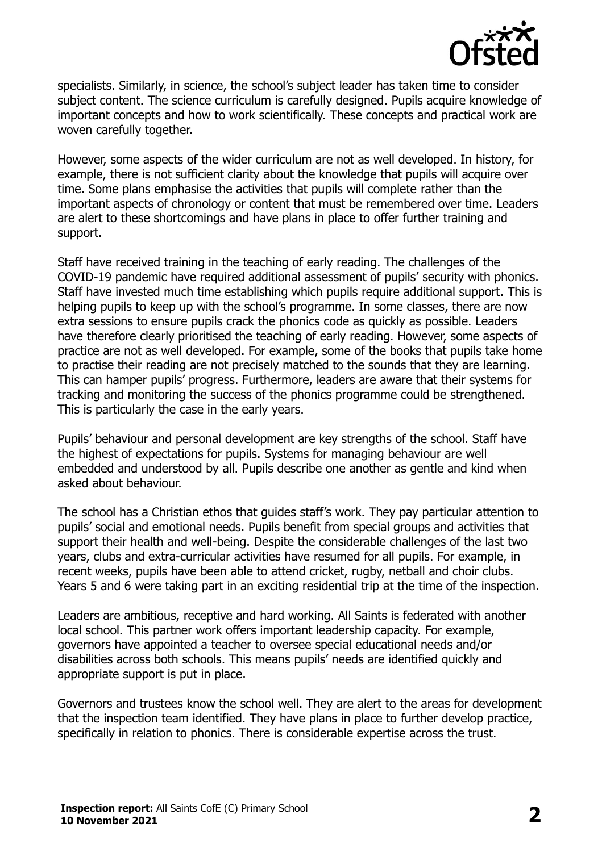

specialists. Similarly, in science, the school's subject leader has taken time to consider subject content. The science curriculum is carefully designed. Pupils acquire knowledge of important concepts and how to work scientifically. These concepts and practical work are woven carefully together.

However, some aspects of the wider curriculum are not as well developed. In history, for example, there is not sufficient clarity about the knowledge that pupils will acquire over time. Some plans emphasise the activities that pupils will complete rather than the important aspects of chronology or content that must be remembered over time. Leaders are alert to these shortcomings and have plans in place to offer further training and support.

Staff have received training in the teaching of early reading. The challenges of the COVID-19 pandemic have required additional assessment of pupils' security with phonics. Staff have invested much time establishing which pupils require additional support. This is helping pupils to keep up with the school's programme. In some classes, there are now extra sessions to ensure pupils crack the phonics code as quickly as possible. Leaders have therefore clearly prioritised the teaching of early reading. However, some aspects of practice are not as well developed. For example, some of the books that pupils take home to practise their reading are not precisely matched to the sounds that they are learning. This can hamper pupils' progress. Furthermore, leaders are aware that their systems for tracking and monitoring the success of the phonics programme could be strengthened. This is particularly the case in the early years.

Pupils' behaviour and personal development are key strengths of the school. Staff have the highest of expectations for pupils. Systems for managing behaviour are well embedded and understood by all. Pupils describe one another as gentle and kind when asked about behaviour.

The school has a Christian ethos that guides staff's work. They pay particular attention to pupils' social and emotional needs. Pupils benefit from special groups and activities that support their health and well-being. Despite the considerable challenges of the last two years, clubs and extra-curricular activities have resumed for all pupils. For example, in recent weeks, pupils have been able to attend cricket, rugby, netball and choir clubs. Years 5 and 6 were taking part in an exciting residential trip at the time of the inspection.

Leaders are ambitious, receptive and hard working. All Saints is federated with another local school. This partner work offers important leadership capacity. For example, governors have appointed a teacher to oversee special educational needs and/or disabilities across both schools. This means pupils' needs are identified quickly and appropriate support is put in place.

Governors and trustees know the school well. They are alert to the areas for development that the inspection team identified. They have plans in place to further develop practice, specifically in relation to phonics. There is considerable expertise across the trust.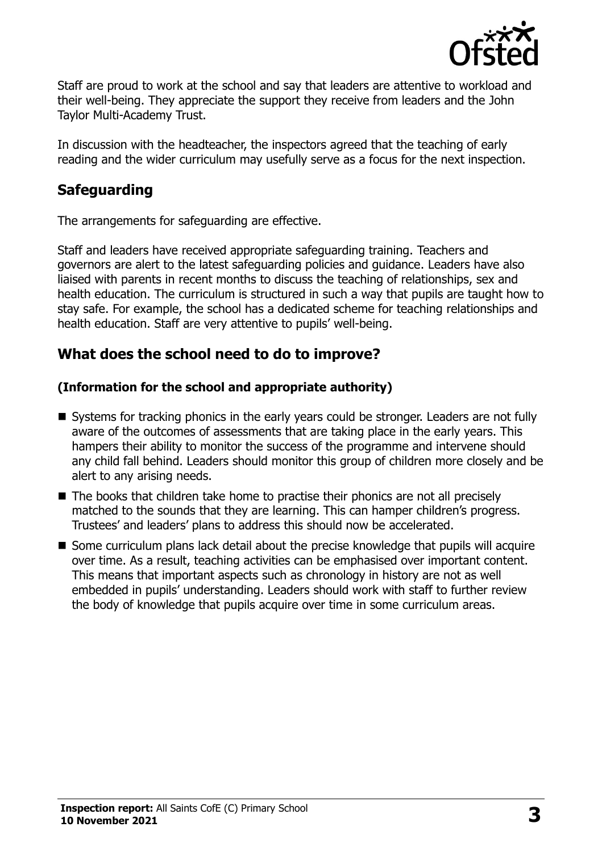

Staff are proud to work at the school and say that leaders are attentive to workload and their well-being. They appreciate the support they receive from leaders and the John Taylor Multi-Academy Trust.

In discussion with the headteacher, the inspectors agreed that the teaching of early reading and the wider curriculum may usefully serve as a focus for the next inspection.

## **Safeguarding**

The arrangements for safeguarding are effective.

Staff and leaders have received appropriate safeguarding training. Teachers and governors are alert to the latest safeguarding policies and guidance. Leaders have also liaised with parents in recent months to discuss the teaching of relationships, sex and health education. The curriculum is structured in such a way that pupils are taught how to stay safe. For example, the school has a dedicated scheme for teaching relationships and health education. Staff are very attentive to pupils' well-being.

## **What does the school need to do to improve?**

#### **(Information for the school and appropriate authority)**

- Systems for tracking phonics in the early years could be stronger. Leaders are not fully aware of the outcomes of assessments that are taking place in the early years. This hampers their ability to monitor the success of the programme and intervene should any child fall behind. Leaders should monitor this group of children more closely and be alert to any arising needs.
- The books that children take home to practise their phonics are not all precisely matched to the sounds that they are learning. This can hamper children's progress. Trustees' and leaders' plans to address this should now be accelerated.
- Some curriculum plans lack detail about the precise knowledge that pupils will acquire over time. As a result, teaching activities can be emphasised over important content. This means that important aspects such as chronology in history are not as well embedded in pupils' understanding. Leaders should work with staff to further review the body of knowledge that pupils acquire over time in some curriculum areas.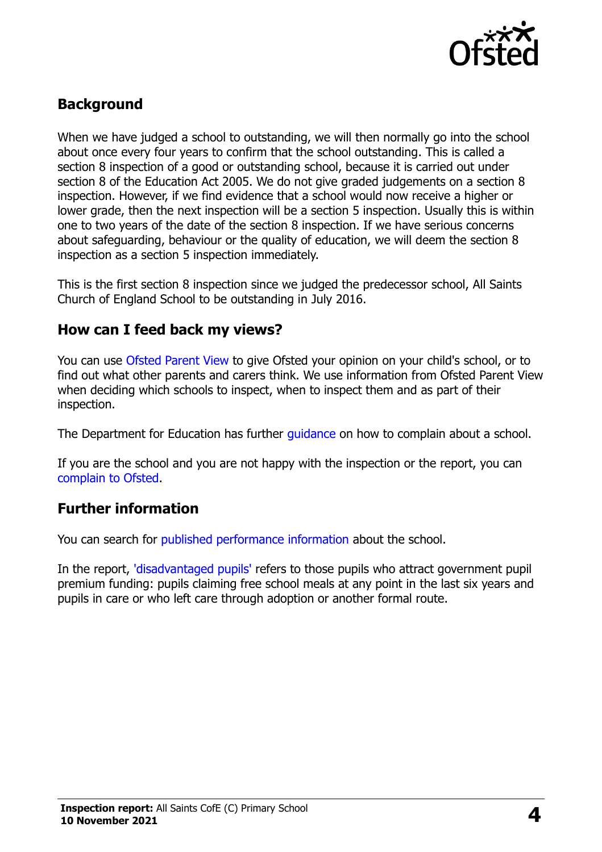

## **Background**

When we have judged a school to outstanding, we will then normally go into the school about once every four years to confirm that the school outstanding. This is called a section 8 inspection of a good or outstanding school, because it is carried out under section 8 of the Education Act 2005. We do not give graded judgements on a section 8 inspection. However, if we find evidence that a school would now receive a higher or lower grade, then the next inspection will be a section 5 inspection. Usually this is within one to two years of the date of the section 8 inspection. If we have serious concerns about safeguarding, behaviour or the quality of education, we will deem the section 8 inspection as a section 5 inspection immediately.

This is the first section 8 inspection since we judged the predecessor school, All Saints Church of England School to be outstanding in July 2016.

#### **How can I feed back my views?**

You can use [Ofsted Parent View](https://parentview.ofsted.gov.uk/) to give Ofsted your opinion on your child's school, or to find out what other parents and carers think. We use information from Ofsted Parent View when deciding which schools to inspect, when to inspect them and as part of their inspection.

The Department for Education has further quidance on how to complain about a school.

If you are the school and you are not happy with the inspection or the report, you can [complain to Ofsted.](https://www.gov.uk/complain-ofsted-report)

### **Further information**

You can search for [published performance information](http://www.compare-school-performance.service.gov.uk/) about the school.

In the report, ['disadvantaged pupils'](http://www.gov.uk/guidance/pupil-premium-information-for-schools-and-alternative-provision-settings) refers to those pupils who attract government pupil premium funding: pupils claiming free school meals at any point in the last six years and pupils in care or who left care through adoption or another formal route.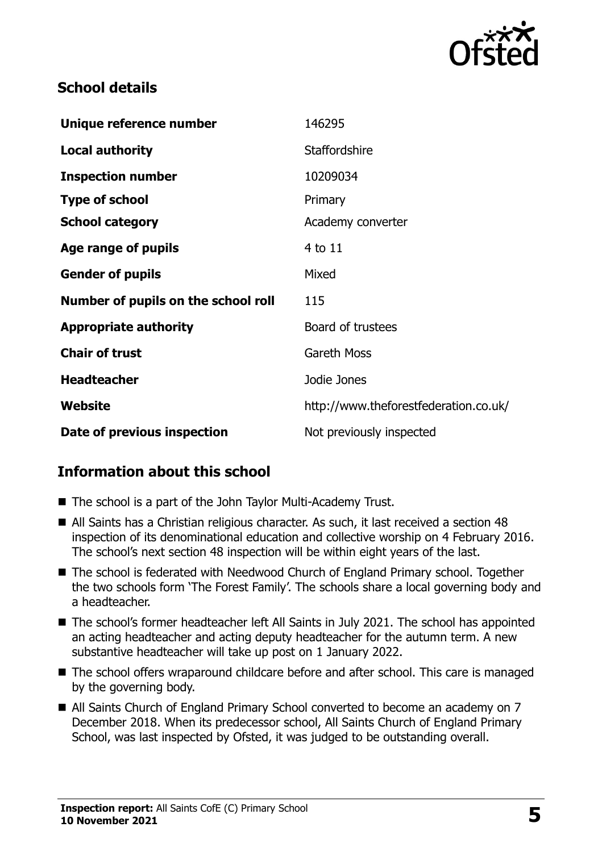

## **School details**

| Unique reference number             | 146295                                |
|-------------------------------------|---------------------------------------|
| <b>Local authority</b>              | <b>Staffordshire</b>                  |
| <b>Inspection number</b>            | 10209034                              |
| <b>Type of school</b>               | Primary                               |
| <b>School category</b>              | Academy converter                     |
| Age range of pupils                 | 4 to 11                               |
| <b>Gender of pupils</b>             | Mixed                                 |
| Number of pupils on the school roll | 115                                   |
| <b>Appropriate authority</b>        | Board of trustees                     |
| <b>Chair of trust</b>               | <b>Gareth Moss</b>                    |
| <b>Headteacher</b>                  | Jodie Jones                           |
| Website                             | http://www.theforestfederation.co.uk/ |
| Date of previous inspection         | Not previously inspected              |

## **Information about this school**

- The school is a part of the John Taylor Multi-Academy Trust.
- All Saints has a Christian religious character. As such, it last received a section 48 inspection of its denominational education and collective worship on 4 February 2016. The school's next section 48 inspection will be within eight years of the last.
- The school is federated with Needwood Church of England Primary school. Together the two schools form 'The Forest Family'. The schools share a local governing body and a headteacher.
- The school's former headteacher left All Saints in July 2021. The school has appointed an acting headteacher and acting deputy headteacher for the autumn term. A new substantive headteacher will take up post on 1 January 2022.
- The school offers wraparound childcare before and after school. This care is managed by the governing body.
- All Saints Church of England Primary School converted to become an academy on 7 December 2018. When its predecessor school, All Saints Church of England Primary School, was last inspected by Ofsted, it was judged to be outstanding overall.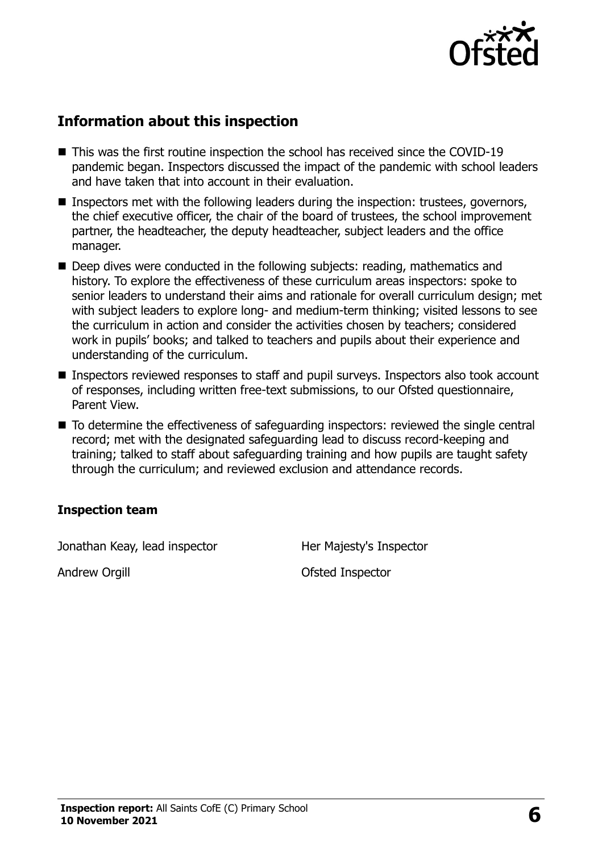

## **Information about this inspection**

- This was the first routine inspection the school has received since the COVID-19 pandemic began. Inspectors discussed the impact of the pandemic with school leaders and have taken that into account in their evaluation.
- Inspectors met with the following leaders during the inspection: trustees, governors, the chief executive officer, the chair of the board of trustees, the school improvement partner, the headteacher, the deputy headteacher, subject leaders and the office manager.
- Deep dives were conducted in the following subjects: reading, mathematics and history. To explore the effectiveness of these curriculum areas inspectors: spoke to senior leaders to understand their aims and rationale for overall curriculum design; met with subject leaders to explore long- and medium-term thinking; visited lessons to see the curriculum in action and consider the activities chosen by teachers; considered work in pupils' books; and talked to teachers and pupils about their experience and understanding of the curriculum.
- Inspectors reviewed responses to staff and pupil surveys. Inspectors also took account of responses, including written free-text submissions, to our Ofsted questionnaire, Parent View.
- To determine the effectiveness of safeguarding inspectors: reviewed the single central record; met with the designated safeguarding lead to discuss record-keeping and training; talked to staff about safeguarding training and how pupils are taught safety through the curriculum; and reviewed exclusion and attendance records.

#### **Inspection team**

Jonathan Keay, lead inspector **Her Majesty's Inspector** 

Andrew Orgill **Andrew Orgill Contract Contract Contract Contract Contract Contract Contract Contract Contract Contract Contract Contract Contract Contract Contract Contract Contract Contract Contract Contract Contract Co**